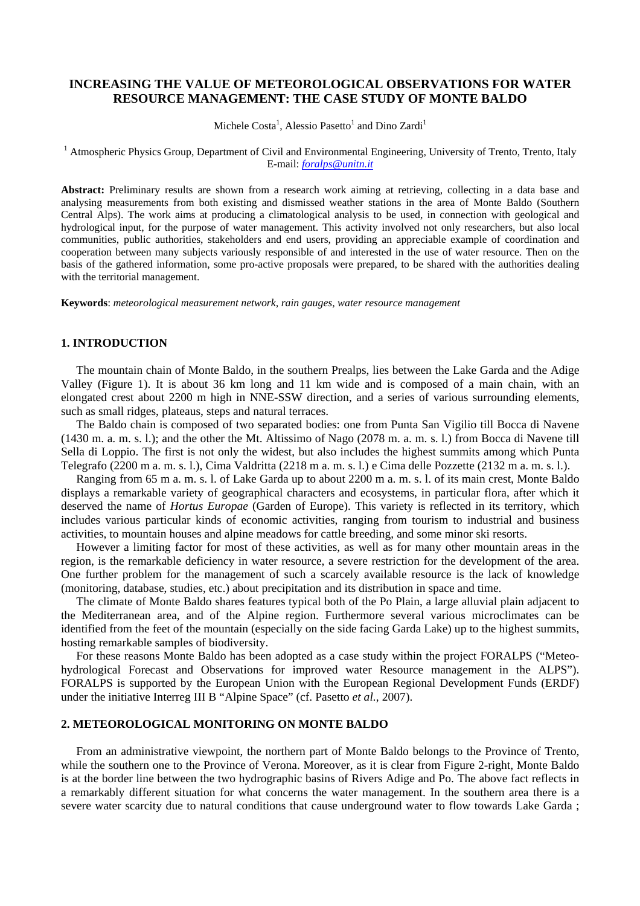# **INCREASING THE VALUE OF METEOROLOGICAL OBSERVATIONS FOR WATER RESOURCE MANAGEMENT: THE CASE STUDY OF MONTE BALDO**

Michele Costa<sup>1</sup>, Alessio Pasetto<sup>1</sup> and Dino Zardi<sup>1</sup>

#### <sup>1</sup> Atmospheric Physics Group, Department of Civil and Environmental Engineering, University of Trento, Trento, Italy E-mail: *foralps@unitn.it*

**Abstract:** Preliminary results are shown from a research work aiming at retrieving, collecting in a data base and analysing measurements from both existing and dismissed weather stations in the area of Monte Baldo (Southern Central Alps). The work aims at producing a climatological analysis to be used, in connection with geological and hydrological input, for the purpose of water management. This activity involved not only researchers, but also local communities, public authorities, stakeholders and end users, providing an appreciable example of coordination and cooperation between many subjects variously responsible of and interested in the use of water resource. Then on the basis of the gathered information, some pro-active proposals were prepared, to be shared with the authorities dealing with the territorial management.

**Keywords**: *meteorological measurement network, rain gauges, water resource management* 

### **1. INTRODUCTION**

The mountain chain of Monte Baldo, in the southern Prealps, lies between the Lake Garda and the Adige Valley (Figure 1). It is about 36 km long and 11 km wide and is composed of a main chain, with an elongated crest about 2200 m high in NNE-SSW direction, and a series of various surrounding elements, such as small ridges, plateaus, steps and natural terraces.

The Baldo chain is composed of two separated bodies: one from Punta San Vigilio till Bocca di Navene (1430 m. a. m. s. l.); and the other the Mt. Altissimo of Nago (2078 m. a. m. s. l.) from Bocca di Navene till Sella di Loppio. The first is not only the widest, but also includes the highest summits among which Punta Telegrafo (2200 m a. m. s. l.), Cima Valdritta (2218 m a. m. s. l.) e Cima delle Pozzette (2132 m a. m. s. l.).

Ranging from 65 m a. m. s. l. of Lake Garda up to about 2200 m a. m. s. l. of its main crest, Monte Baldo displays a remarkable variety of geographical characters and ecosystems, in particular flora, after which it deserved the name of *Hortus Europae* (Garden of Europe). This variety is reflected in its territory, which includes various particular kinds of economic activities, ranging from tourism to industrial and business activities, to mountain houses and alpine meadows for cattle breeding, and some minor ski resorts.

However a limiting factor for most of these activities, as well as for many other mountain areas in the region, is the remarkable deficiency in water resource, a severe restriction for the development of the area. One further problem for the management of such a scarcely available resource is the lack of knowledge (monitoring, database, studies, etc.) about precipitation and its distribution in space and time.

The climate of Monte Baldo shares features typical both of the Po Plain, a large alluvial plain adjacent to the Mediterranean area, and of the Alpine region. Furthermore several various microclimates can be identified from the feet of the mountain (especially on the side facing Garda Lake) up to the highest summits, hosting remarkable samples of biodiversity.

For these reasons Monte Baldo has been adopted as a case study within the project FORALPS ("Meteohydrological Forecast and Observations for improved water Resource management in the ALPS"). FORALPS is supported by the European Union with the European Regional Development Funds (ERDF) under the initiative Interreg III B "Alpine Space" (cf. Pasetto *et al.*, 2007).

### **2. METEOROLOGICAL MONITORING ON MONTE BALDO**

From an administrative viewpoint, the northern part of Monte Baldo belongs to the Province of Trento, while the southern one to the Province of Verona. Moreover, as it is clear from Figure 2-right, Monte Baldo is at the border line between the two hydrographic basins of Rivers Adige and Po. The above fact reflects in a remarkably different situation for what concerns the water management. In the southern area there is a severe water scarcity due to natural conditions that cause underground water to flow towards Lake Garda ;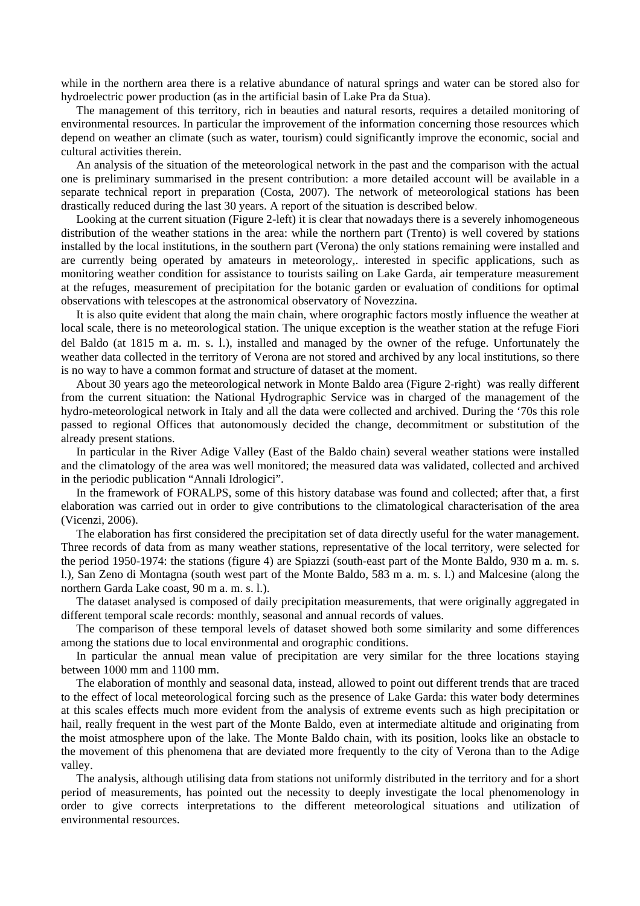while in the northern area there is a relative abundance of natural springs and water can be stored also for hydroelectric power production (as in the artificial basin of Lake Pra da Stua).

The management of this territory, rich in beauties and natural resorts, requires a detailed monitoring of environmental resources. In particular the improvement of the information concerning those resources which depend on weather an climate (such as water, tourism) could significantly improve the economic, social and cultural activities therein.

An analysis of the situation of the meteorological network in the past and the comparison with the actual one is preliminary summarised in the present contribution: a more detailed account will be available in a separate technical report in preparation (Costa, 2007). The network of meteorological stations has been drastically reduced during the last 30 years. A report of the situation is described below.

Looking at the current situation (Figure 2-left) it is clear that nowadays there is a severely inhomogeneous distribution of the weather stations in the area: while the northern part (Trento) is well covered by stations installed by the local institutions, in the southern part (Verona) the only stations remaining were installed and are currently being operated by amateurs in meteorology,. interested in specific applications, such as monitoring weather condition for assistance to tourists sailing on Lake Garda, air temperature measurement at the refuges, measurement of precipitation for the botanic garden or evaluation of conditions for optimal observations with telescopes at the astronomical observatory of Novezzina.

It is also quite evident that along the main chain, where orographic factors mostly influence the weather at local scale, there is no meteorological station. The unique exception is the weather station at the refuge Fiori del Baldo (at 1815 m a. m. s. l.), installed and managed by the owner of the refuge. Unfortunately the weather data collected in the territory of Verona are not stored and archived by any local institutions, so there is no way to have a common format and structure of dataset at the moment.

About 30 years ago the meteorological network in Monte Baldo area (Figure 2-right) was really different from the current situation: the National Hydrographic Service was in charged of the management of the hydro-meteorological network in Italy and all the data were collected and archived. During the '70s this role passed to regional Offices that autonomously decided the change, decommitment or substitution of the already present stations.

In particular in the River Adige Valley (East of the Baldo chain) several weather stations were installed and the climatology of the area was well monitored; the measured data was validated, collected and archived in the periodic publication "Annali Idrologici".

In the framework of FORALPS, some of this history database was found and collected; after that, a first elaboration was carried out in order to give contributions to the climatological characterisation of the area (Vicenzi, 2006).

The elaboration has first considered the precipitation set of data directly useful for the water management. Three records of data from as many weather stations, representative of the local territory, were selected for the period 1950-1974: the stations (figure 4) are Spiazzi (south-east part of the Monte Baldo, 930 m a. m. s. l.), San Zeno di Montagna (south west part of the Monte Baldo, 583 m a. m. s. l.) and Malcesine (along the northern Garda Lake coast, 90 m a. m. s. l.).

The dataset analysed is composed of daily precipitation measurements, that were originally aggregated in different temporal scale records: monthly, seasonal and annual records of values.

The comparison of these temporal levels of dataset showed both some similarity and some differences among the stations due to local environmental and orographic conditions.

In particular the annual mean value of precipitation are very similar for the three locations staying between 1000 mm and 1100 mm.

The elaboration of monthly and seasonal data, instead, allowed to point out different trends that are traced to the effect of local meteorological forcing such as the presence of Lake Garda: this water body determines at this scales effects much more evident from the analysis of extreme events such as high precipitation or hail, really frequent in the west part of the Monte Baldo, even at intermediate altitude and originating from the moist atmosphere upon of the lake. The Monte Baldo chain, with its position, looks like an obstacle to the movement of this phenomena that are deviated more frequently to the city of Verona than to the Adige valley.

The analysis, although utilising data from stations not uniformly distributed in the territory and for a short period of measurements, has pointed out the necessity to deeply investigate the local phenomenology in order to give corrects interpretations to the different meteorological situations and utilization of environmental resources.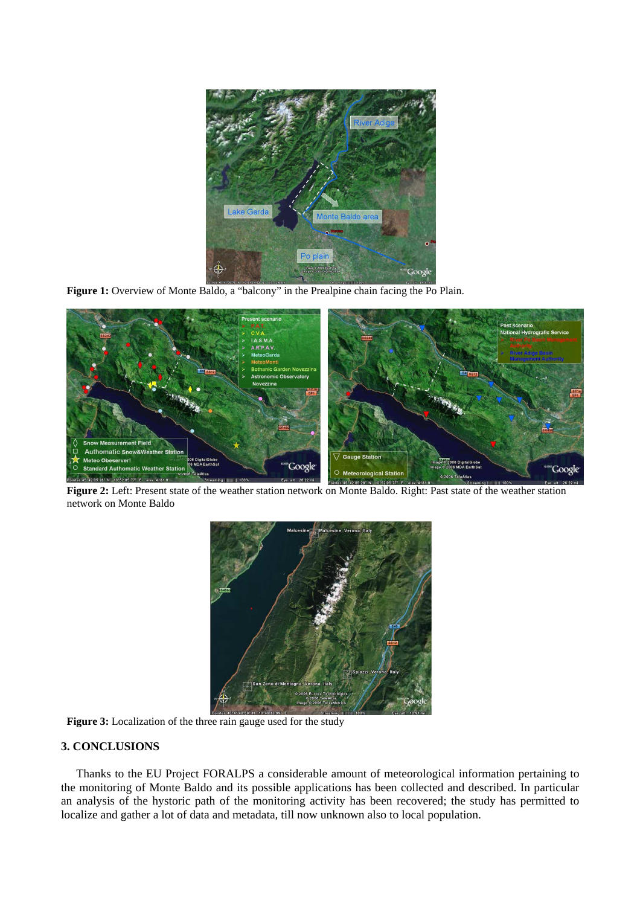

Figure 1: Overview of Monte Baldo, a "balcony" in the Prealpine chain facing the Po Plain.



**Figure 2:** Left: Present state of the weather station network on Monte Baldo. Right: Past state of the weather station network on Monte Baldo



Figure 3: Localization of the three rain gauge used for the study

## **3. CONCLUSIONS**

Thanks to the EU Project FORALPS a considerable amount of meteorological information pertaining to the monitoring of Monte Baldo and its possible applications has been collected and described. In particular an analysis of the hystoric path of the monitoring activity has been recovered; the study has permitted to localize and gather a lot of data and metadata, till now unknown also to local population.